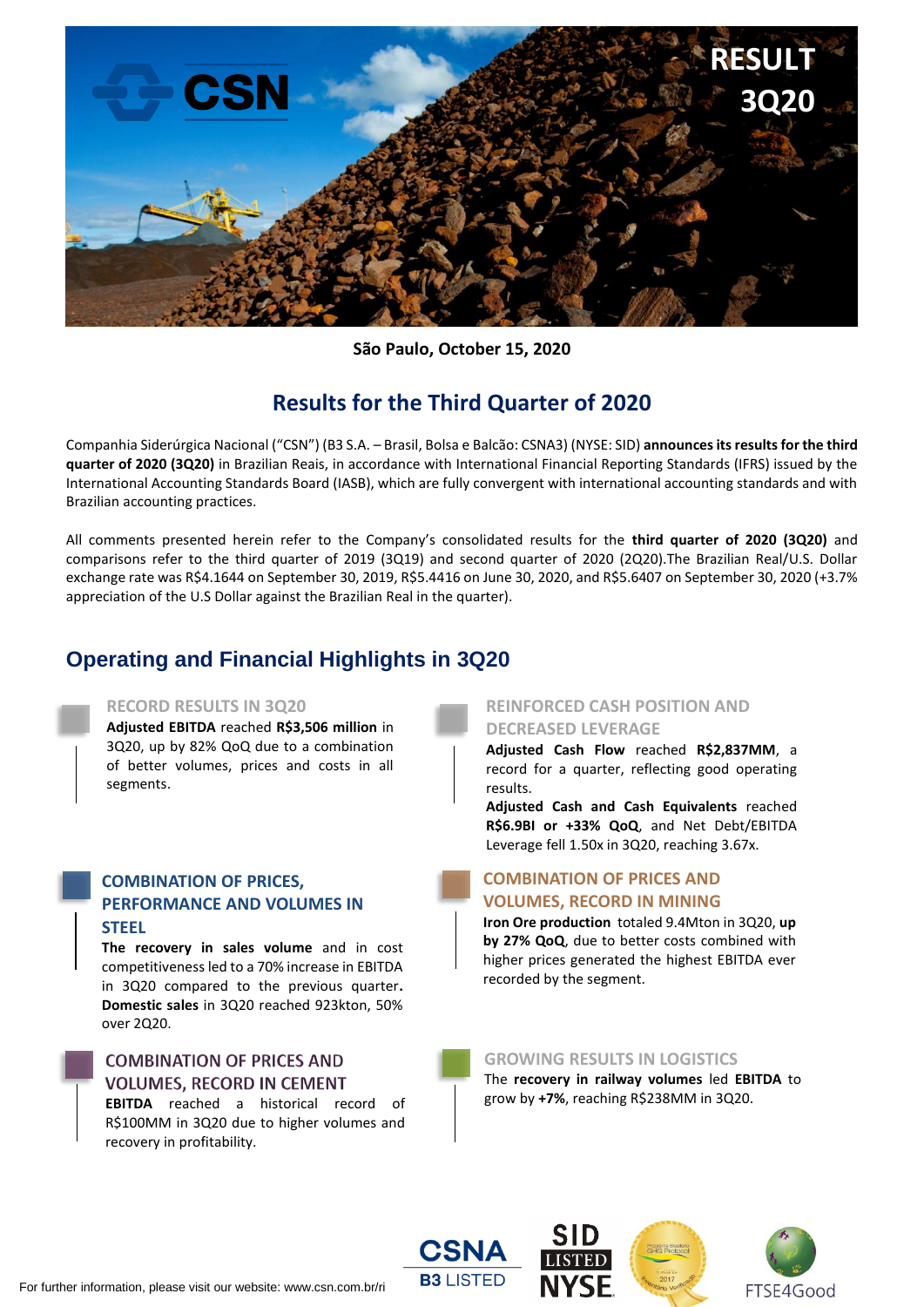

**São Paulo, October 15, 2020**

# **Results for the Third Quarter of 2020**

Companhia Siderúrgica Nacional ("CSN") (B3 S.A. – Brasil, Bolsa e Balcão: CSNA3) (NYSE: SID) **announces its results for the third quarter of 2020 (3Q20)** in Brazilian Reais, in accordance with International Financial Reporting Standards (IFRS) issued by the International Accounting Standards Board (IASB), which are fully convergent with international accounting standards and with Brazilian accounting practices.

All comments presented herein refer to the Company's consolidated results for the **third quarter of 2020 (3Q20)** and comparisons refer to the third quarter of 2019 (3Q19) and second quarter of 2020 (2Q20).The Brazilian Real/U.S. Dollar exchange rate was R\$4.1644 on September 30, 2019, R\$5.4416 on June 30, 2020, and R\$5.6407 on September 30, 2020 (+3.7% appreciation of the U.S Dollar against the Brazilian Real in the quarter).

# **Operating and Financial Highlights in 3Q20**

## **RECORD RESULTS IN 3Q20**

**Adjusted EBITDA** reached **R\$3,506 million** in 3Q20, up by 82% QoQ due to a combination of better volumes, prices and costs in all segments.

## **COMBINATION OF PRICES, PERFORMANCE AND VOLUMES IN STEEL**

**The recovery in sales volume** and in cost competitiveness led to a 70% increase in EBITDA in 3Q20 compared to the previous quarter**. Domestic sales** in 3Q20 reached 923kton, 50% over 2Q20.

# **COMBINATION OF PRICES AND VOLUMES, RECORD IN CEMENT**

**EBITDA** reached a historical record of R\$100MM in 3Q20 due to higher volumes and recovery in profitability.

## **REINFORCED CASH POSITION AND DECREASED LEVERAGE**

**Adjusted Cash Flow** reached **R\$2,837MM**, a record for a quarter, reflecting good operating results.

**Adjusted Cash and Cash Equivalents** reached **R\$6.9BI or +33% QoQ**, and Net Debt/EBITDA Leverage fell 1.50x in 3Q20, reaching 3.67x.

# **COMBINATION OF PRICES AND VOLUMES, RECORD IN MINING**

**Iron Ore production** totaled 9.4Mton in 3Q20, **up by 27% QoQ**, due to better costs combined with higher prices generated the highest EBITDA ever recorded by the segment.

## **GROWING RESULTS IN LOGISTICS**

The **recovery in railway volumes** led **EBITDA** to grow by **+7%**, reaching R\$238MM in 3Q20.

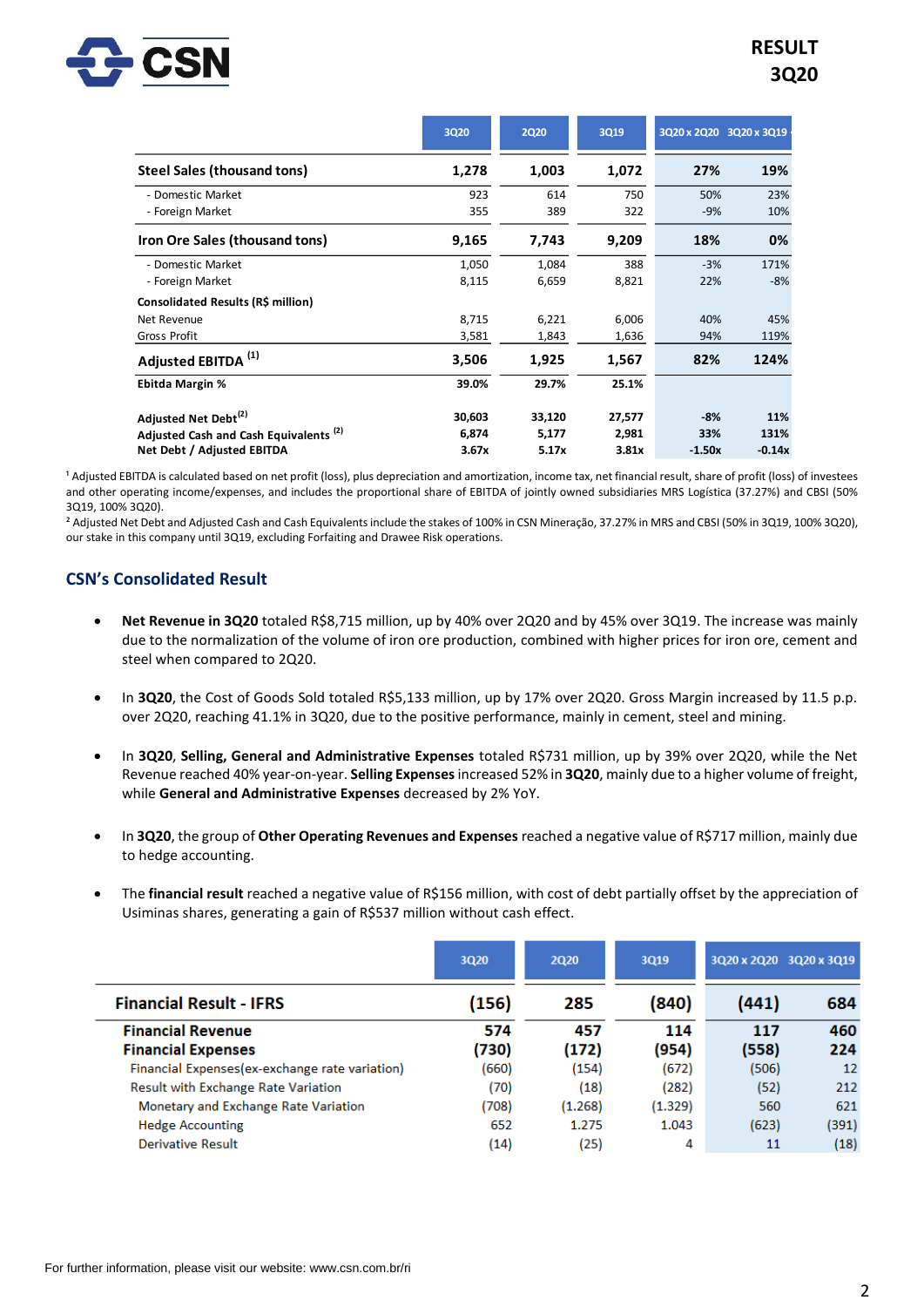

|                                                   | <b>3Q20</b> | <b>2Q20</b> | 3Q19   | 3Q20 x 2Q20 3Q20 x 3Q19 |          |
|---------------------------------------------------|-------------|-------------|--------|-------------------------|----------|
| Steel Sales (thousand tons)                       | 1,278       | 1,003       | 1,072  | 27%                     | 19%      |
| - Domestic Market                                 | 923         | 614         | 750    | 50%                     | 23%      |
| - Foreign Market                                  | 355         | 389         | 322    | $-9%$                   | 10%      |
| Iron Ore Sales (thousand tons)                    | 9,165       | 7,743       | 9,209  | 18%                     | 0%       |
| - Domestic Market                                 | 1,050       | 1,084       | 388    | $-3%$                   | 171%     |
| - Foreign Market                                  | 8,115       | 6,659       | 8,821  | 22%                     | $-8%$    |
| Consolidated Results (R\$ million)                |             |             |        |                         |          |
| Net Revenue                                       | 8,715       | 6,221       | 6,006  | 40%                     | 45%      |
| Gross Profit                                      | 3,581       | 1,843       | 1,636  | 94%                     | 119%     |
| Adjusted EBITDA <sup>(1)</sup>                    | 3,506       | 1,925       | 1,567  | 82%                     | 124%     |
| <b>Ebitda Margin %</b>                            | 39.0%       | 29.7%       | 25.1%  |                         |          |
| Adjusted Net Debt <sup>(2)</sup>                  | 30,603      | 33,120      | 27,577 | $-8%$                   | 11%      |
| Adjusted Cash and Cash Equivalents <sup>(2)</sup> | 6,874       | 5,177       | 2,981  | 33%                     | 131%     |
| Net Debt / Adjusted EBITDA                        | 3.67x       | 5.17x       | 3.81x  | $-1.50x$                | $-0.14x$ |

<sup>1</sup> Adjusted EBITDA is calculated based on net profit (loss), plus depreciation and amortization, income tax, net financial result, share of profit (loss) of investees and other operating income/expenses, and includes the proportional share of EBITDA of jointly owned subsidiaries MRS Logística (37.27%) and CBSI (50% 3Q19, 100% 3Q20).

² Adjusted Net Debt and Adjusted Cash and Cash Equivalents include the stakes of 100% in CSN Mineração, 37.27% in MRS and CBSI (50% in 3Q19, 100% 3Q20), our stake in this company until 3Q19, excluding Forfaiting and Drawee Risk operations.

## **CSN's Consolidated Result**

- **Net Revenue in 3Q20** totaled R\$8,715 million, up by 40% over 2Q20 and by 45% over 3Q19. The increase was mainly due to the normalization of the volume of iron ore production, combined with higher prices for iron ore, cement and steel when compared to 2Q20.
- In **3Q20**, the Cost of Goods Sold totaled R\$5,133 million, up by 17% over 2Q20. Gross Margin increased by 11.5 p.p. over 2Q20, reaching 41.1% in 3Q20, due to the positive performance, mainly in cement, steel and mining.
- In **3Q20**, **Selling, General and Administrative Expenses** totaled R\$731 million, up by 39% over 2Q20, while the Net Revenue reached 40% year-on-year. **Selling Expenses**increased 52% in **3Q20**, mainly due to a higher volume of freight, while **General and Administrative Expenses** decreased by 2% YoY.
- In **3Q20**, the group of **Other Operating Revenues and Expenses** reached a negative value of R\$717 million, mainly due to hedge accounting.
- The **financial result** reached a negative value of R\$156 million, with cost of debt partially offset by the appreciation of Usiminas shares, generating a gain of R\$537 million without cash effect.

|                                                 | 3Q20  | <b>2Q20</b> | 3Q19    |       | 3Q20 x 2Q20 3Q20 x 3Q19 |
|-------------------------------------------------|-------|-------------|---------|-------|-------------------------|
| <b>Financial Result - IFRS</b>                  | (156) | 285         | (840)   | (441) | 684                     |
| <b>Financial Revenue</b>                        | 574   | 457         | 114     | 117   | 460                     |
| <b>Financial Expenses</b>                       | (730) | (172)       | (954)   | (558) | 224                     |
| Financial Expenses (ex-exchange rate variation) | (660) | (154)       | (672)   | (506) | 12                      |
| <b>Result with Exchange Rate Variation</b>      | (70)  | (18)        | (282)   | (52)  | 212                     |
| Monetary and Exchange Rate Variation            | (708) | (1.268)     | (1.329) | 560   | 621                     |
| <b>Hedge Accounting</b>                         | 652   | 1.275       | 1.043   | (623) | (391)                   |
| Derivative Result                               | (14)  | (25)        | 4       | 11    | (18)                    |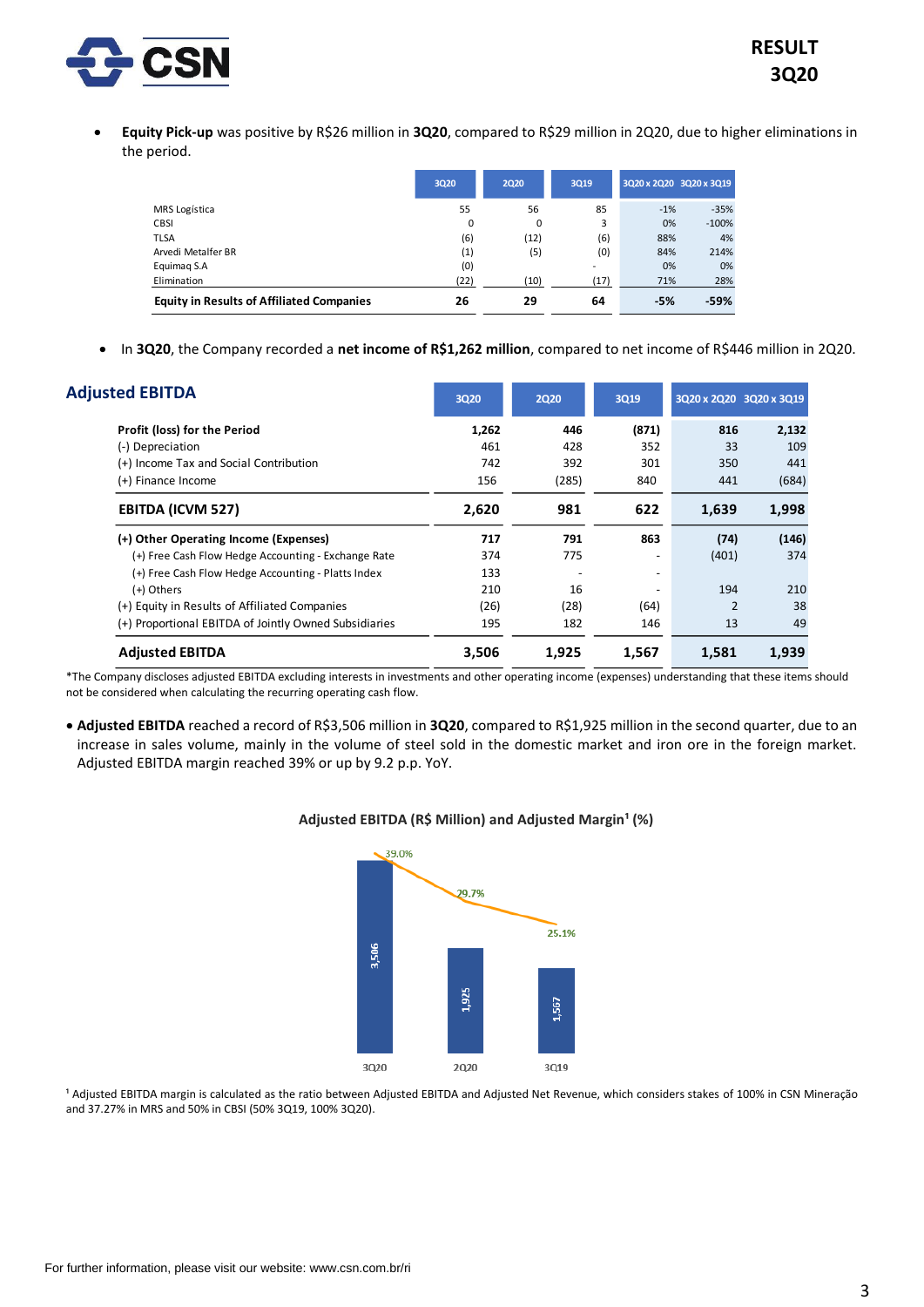

• **Equity Pick-up** was positive by R\$26 million in **3Q20**, compared to R\$29 million in 2Q20, due to higher eliminations in the period.

|                                                  | 3020 | 2020 | 3019                     | 3Q20 x 2Q20 3Q20 x 3Q19 |         |
|--------------------------------------------------|------|------|--------------------------|-------------------------|---------|
| <b>MRS</b> Logística                             | 55   | 56   | 85                       | $-1%$                   | $-35%$  |
| <b>CBSI</b>                                      | 0    | 0    | 3                        | 0%                      | $-100%$ |
| <b>TLSA</b>                                      | (6)  | (12) | (6)                      | 88%                     | 4%      |
| Arvedi Metalfer BR                               | (1)  | (5)  | (0)                      | 84%                     | 214%    |
| Equimag S.A                                      | (0)  |      | $\overline{\phantom{a}}$ | 0%                      | 0%      |
| Elimination                                      | (22) | (10) | (17)                     | 71%                     | 28%     |
| <b>Equity in Results of Affiliated Companies</b> | 26   | 29   | 64                       | $-5%$                   | $-59%$  |

• In **3Q20**, the Company recorded a **net income of R\$1,262 million**, compared to net income of R\$446 million in 2Q20.

| <b>Adjusted EBITDA</b>                                | 3Q20  | <b>2Q20</b> | 3Q19                     | 3Q20 x 2Q20 3Q20 x 3Q19 |       |
|-------------------------------------------------------|-------|-------------|--------------------------|-------------------------|-------|
| Profit (loss) for the Period                          | 1,262 | 446         | (871)                    | 816                     | 2,132 |
| (-) Depreciation                                      | 461   | 428         | 352                      | 33                      | 109   |
| (+) Income Tax and Social Contribution                | 742   | 392         | 301                      | 350                     | 441   |
| (+) Finance Income                                    | 156   | (285)       | 840                      | 441                     | (684) |
| <b>EBITDA (ICVM 527)</b>                              | 2,620 | 981         | 622                      | 1,639                   | 1,998 |
| (+) Other Operating Income (Expenses)                 | 717   | 791         | 863                      | (74)                    | (146) |
| (+) Free Cash Flow Hedge Accounting - Exchange Rate   | 374   | 775         |                          | (401)                   | 374   |
| (+) Free Cash Flow Hedge Accounting - Platts Index    | 133   |             | $\overline{\phantom{a}}$ |                         |       |
| (+) Others                                            | 210   | 16          |                          | 194                     | 210   |
| (+) Equity in Results of Affiliated Companies         | (26)  | (28)        | (64)                     |                         | 38    |
| (+) Proportional EBITDA of Jointly Owned Subsidiaries | 195   | 182         | 146                      | 13                      | 49    |
| <b>Adjusted EBITDA</b>                                | 3,506 | 1,925       | 1,567                    | 1,581                   | 1,939 |

\*The Company discloses adjusted EBITDA excluding interests in investments and other operating income (expenses) understanding that these items should not be considered when calculating the recurring operating cash flow.

• **Adjusted EBITDA** reached a record of R\$3,506 million in **3Q20**, compared to R\$1,925 million in the second quarter, due to an increase in sales volume, mainly in the volume of steel sold in the domestic market and iron ore in the foreign market. Adjusted EBITDA margin reached 39% or up by 9.2 p.p. YoY.



## Adjusted EBITDA (R\$ Million) and Adjusted Margin<sup>1</sup> (%)

<sup>1</sup> Adjusted EBITDA margin is calculated as the ratio between Adjusted EBITDA and Adjusted Net Revenue, which considers stakes of 100% in CSN Mineração and 37.27% in MRS and 50% in CBSI (50% 3Q19, 100% 3Q20).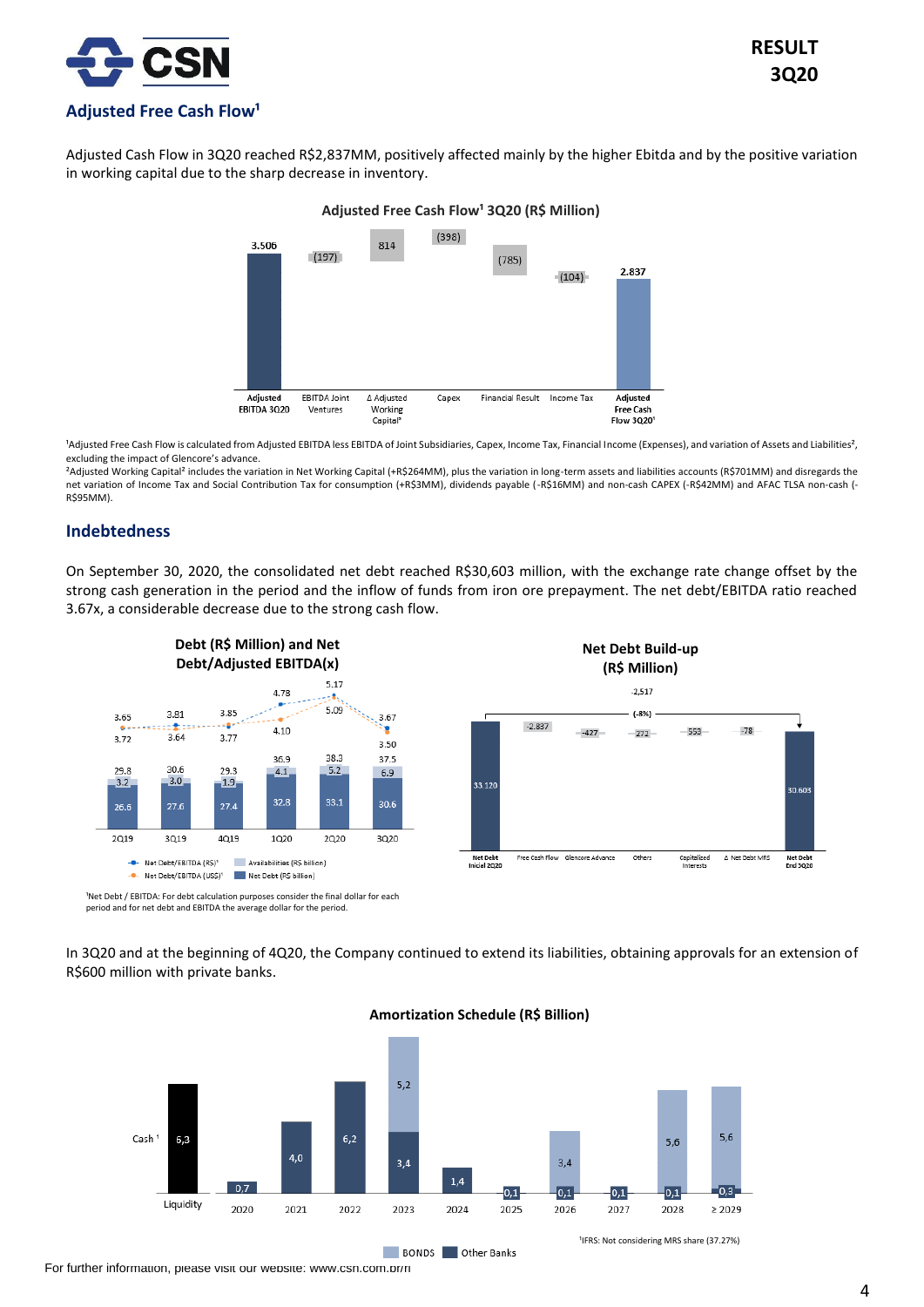

Adjusted Cash Flow in 3Q20 reached R\$2,837MM, positively affected mainly by the higher Ebitda and by the positive variation in working capital due to the sharp decrease in inventory.

## **Adjusted Free Cash Flow¹ 3Q20 (R\$ Million)**



<sup>1</sup>Adjusted Free Cash Flow is calculated from Adjusted EBITDA less EBITDA of Joint Subsidiaries, Capex, Income Tax, Financial Income (Expenses), and variation of Assets and Liabilities<sup>2</sup>, excluding the impact of Glencore's advance.

²Adjusted Working Capital² includes the variation in Net Working Capital (+R\$264MM), plus the variation in long-term assets and liabilities accounts (R\$701MM) and disregards the net variation of Income Tax and Social Contribution Tax for consumption (+R\$3MM), dividends payable (-R\$16MM) and non-cash CAPEX (-R\$42MM) and AFAC TLSA non-cash (- R\$95MM).

## **Indebtedness**

On September 30, 2020, the consolidated net debt reached R\$30,603 million, with the exchange rate change offset by the strong cash generation in the period and the inflow of funds from iron ore prepayment. The net debt/EBITDA ratio reached 3.67x, a considerable decrease due to the strong cash flow.



<sup>1</sup>Net Debt / EBITDA: For debt calculation purposes consider the final dollar for each period and for net debt and EBITDA the average dollar for the period.

In 3Q20 and at the beginning of 4Q20, the Company continued to extend its liabilities, obtaining approvals for an extension of R\$600 million with private banks.



**BONDS** Other Banks

### **Amortization Schedule (R\$ Billion)**

For further information, please visit our website: www.csn.com.br/ri

**RESULT 3Q20**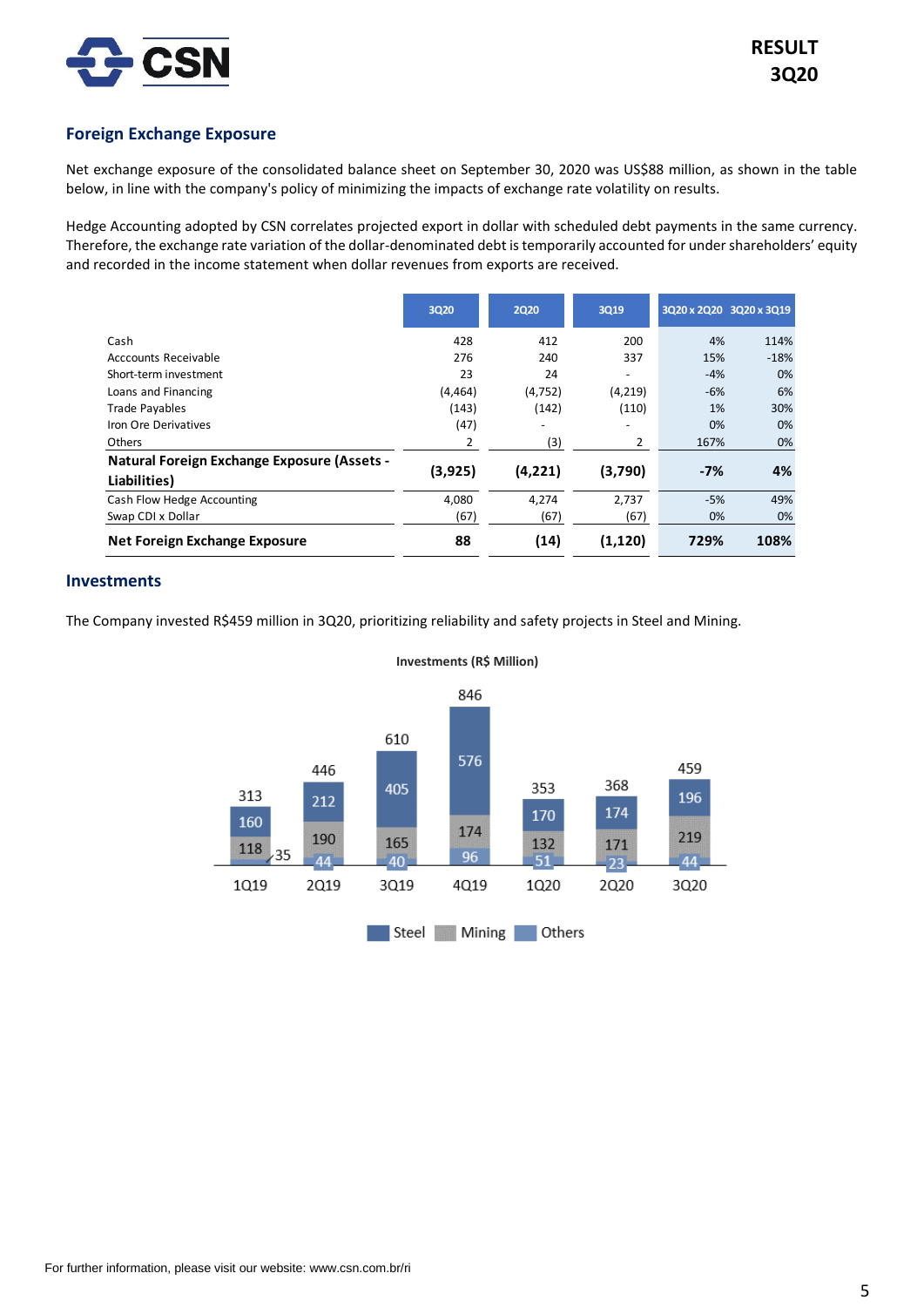

## **Foreign Exchange Exposure**

Net exchange exposure of the consolidated balance sheet on September 30, 2020 was US\$88 million, as shown in the table below, in line with the company's policy of minimizing the impacts of exchange rate volatility on results.

Hedge Accounting adopted by CSN correlates projected export in dollar with scheduled debt payments in the same currency. Therefore, the exchange rate variation of the dollar-denominated debt is temporarily accounted for under shareholders' equity and recorded in the income statement when dollar revenues from exports are received.

|                                                    | <b>3Q20</b> | <b>2Q20</b>              | 3Q19                     | 3Q20 x 2Q20 3Q20 x 3Q19 |        |
|----------------------------------------------------|-------------|--------------------------|--------------------------|-------------------------|--------|
| Cash                                               | 428         | 412                      | 200                      | 4%                      | 114%   |
| Acccounts Receivable                               | 276         | 240                      | 337                      | 15%                     | $-18%$ |
| Short-term investment                              | 23          | 24                       |                          | $-4%$                   | 0%     |
| Loans and Financing                                | (4, 464)    | (4, 752)                 | (4, 219)                 | $-6%$                   | 6%     |
| <b>Trade Payables</b>                              | (143)       | (142)                    | (110)                    | 1%                      | 30%    |
| Iron Ore Derivatives                               | (47)        | $\overline{\phantom{a}}$ | $\overline{\phantom{0}}$ | 0%                      | 0%     |
| Others                                             | 2           | (3)                      | 2                        | 167%                    | 0%     |
| <b>Natural Foreign Exchange Exposure (Assets -</b> |             |                          |                          |                         | 4%     |
| Liabilities)                                       | (3,925)     | (4,221)                  | (3,790)                  | $-7%$                   |        |
| Cash Flow Hedge Accounting                         | 4,080       | 4.274                    | 2,737                    | $-5%$                   | 49%    |
| Swap CDI x Dollar                                  | (67)        | (67)                     | (67)                     | 0%                      | 0%     |
| Net Foreign Exchange Exposure                      | 88          | (14)                     | (1, 120)                 | 729%                    | 108%   |

## **Investments**

The Company invested R\$459 million in 3Q20, prioritizing reliability and safety projects in Steel and Mining.



**Investments (R\$ Million)**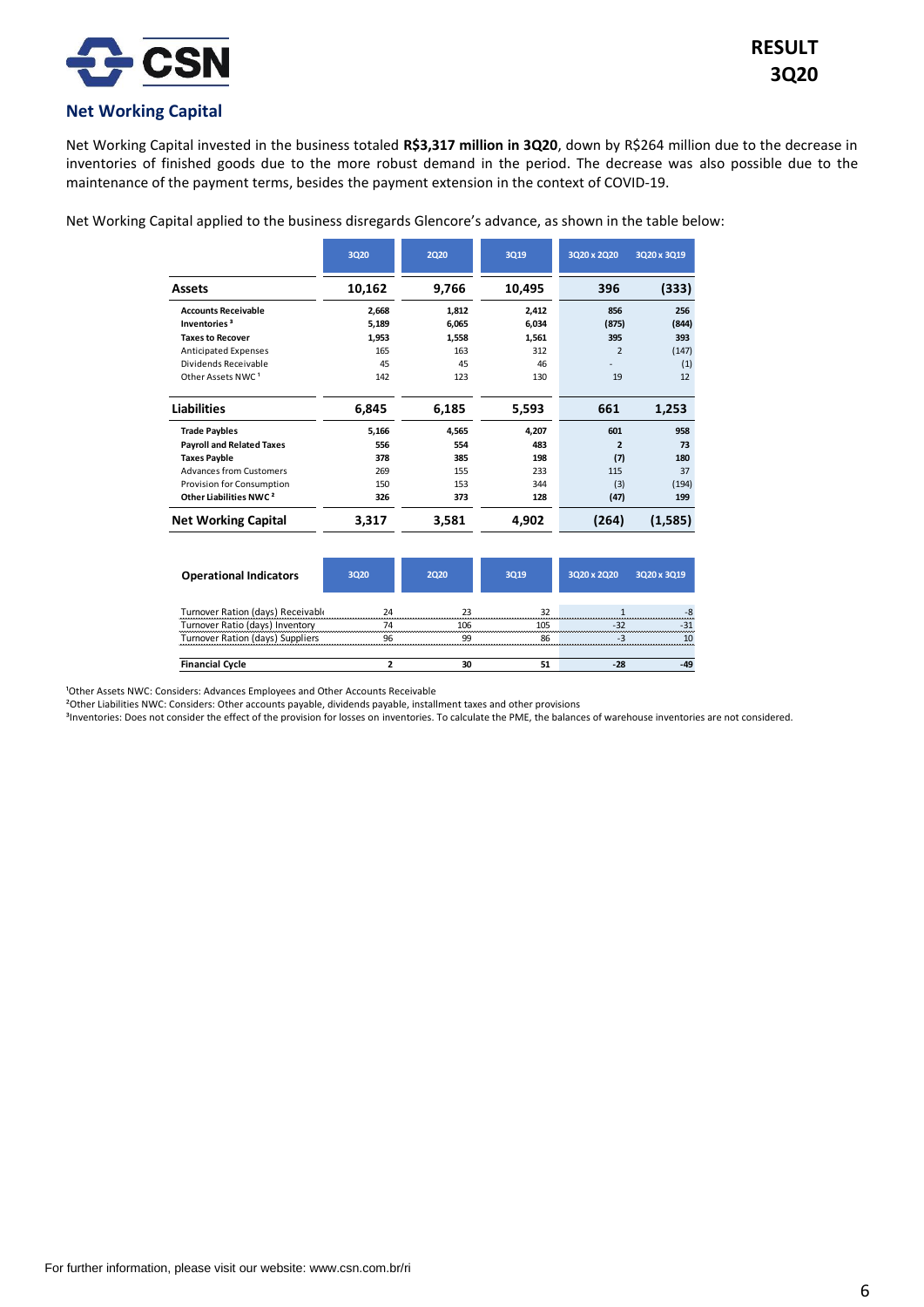

## **Net Working Capital**

Net Working Capital invested in the business totaled **R\$3,317 million in 3Q20**, down by R\$264 million due to the decrease in inventories of finished goods due to the more robust demand in the period. The decrease was also possible due to the maintenance of the payment terms, besides the payment extension in the context of COVID-19.

Net Working Capital applied to the business disregards Glencore's advance, as shown in the table below:

|                                    | <b>3Q20</b> | <b>2Q20</b> | <b>3Q19</b> | 3Q20 x 2Q20              | 3Q20 x 3Q19 |
|------------------------------------|-------------|-------------|-------------|--------------------------|-------------|
| Assets                             | 10,162      | 9,766       | 10,495      | 396                      | (333)       |
| <b>Accounts Receivable</b>         | 2,668       | 1,812       | 2,412       | 856                      | 256         |
| Inventories <sup>3</sup>           | 5,189       | 6,065       | 6,034       | (875)                    | (844)       |
| <b>Taxes to Recover</b>            | 1,953       | 1,558       | 1,561       | 395                      | 393         |
| Anticipated Expenses               | 165         | 163         | 312         | $\overline{2}$           | (147)       |
| Dividends Receivable               | 45          | 45          | 46          | ٠                        | (1)         |
| Other Assets NWC <sup>1</sup>      | 142         | 123         | 130         | 19                       | 12          |
| <b>Liabilities</b>                 | 6,845       | 6,185       | 5,593       | 661                      | 1,253       |
| <b>Trade Paybles</b>               | 5,166       | 4,565       | 4,207       | 601                      | 958         |
| <b>Payroll and Related Taxes</b>   | 556         | 554         | 483         | $\overline{\phantom{a}}$ | 73          |
| <b>Taxes Payble</b>                | 378         | 385         | 198         | (7)                      | 180         |
| Advances from Customers            | 269         | 155         | 233         | 115                      | 37          |
| Provision for Consumption          | 150         | 153         | 344         | (3)                      | (194)       |
| Other Liabilities NWC <sup>2</sup> | 326         | 373         | 128         | (47)                     | 199         |
| <b>Net Working Capital</b>         | 3,317       | 3,581       | 4,902       | (264)                    | (1,585)     |

| <b>Operational Indicators</b>     | 3020 | 2020     | 3019 | 3Q20 x 2Q20 | 3Q20 x 3Q19 |
|-----------------------------------|------|----------|------|-------------|-------------|
| Turnover Ration (days) Receivable | 24   |          | 32   |             |             |
| Turnover Ratio (days) Inventory   | 74   | 106      | 105  |             |             |
| Turnover Ration (days) Suppliers  | ۹հ   | $\alpha$ | 86   |             |             |
| <b>Financial Cycle</b>            |      |          |      |             |             |

<sup>1</sup>Other Assets NWC: Considers: Advances Employees and Other Accounts Receivable

²Other Liabilities NWC: Considers: Other accounts payable, dividends payable, installment taxes and other provisions

<sup>3</sup>Inventories: Does not consider the effect of the provision for losses on inventories. To calculate the PME, the balances of warehouse inventories are not considered.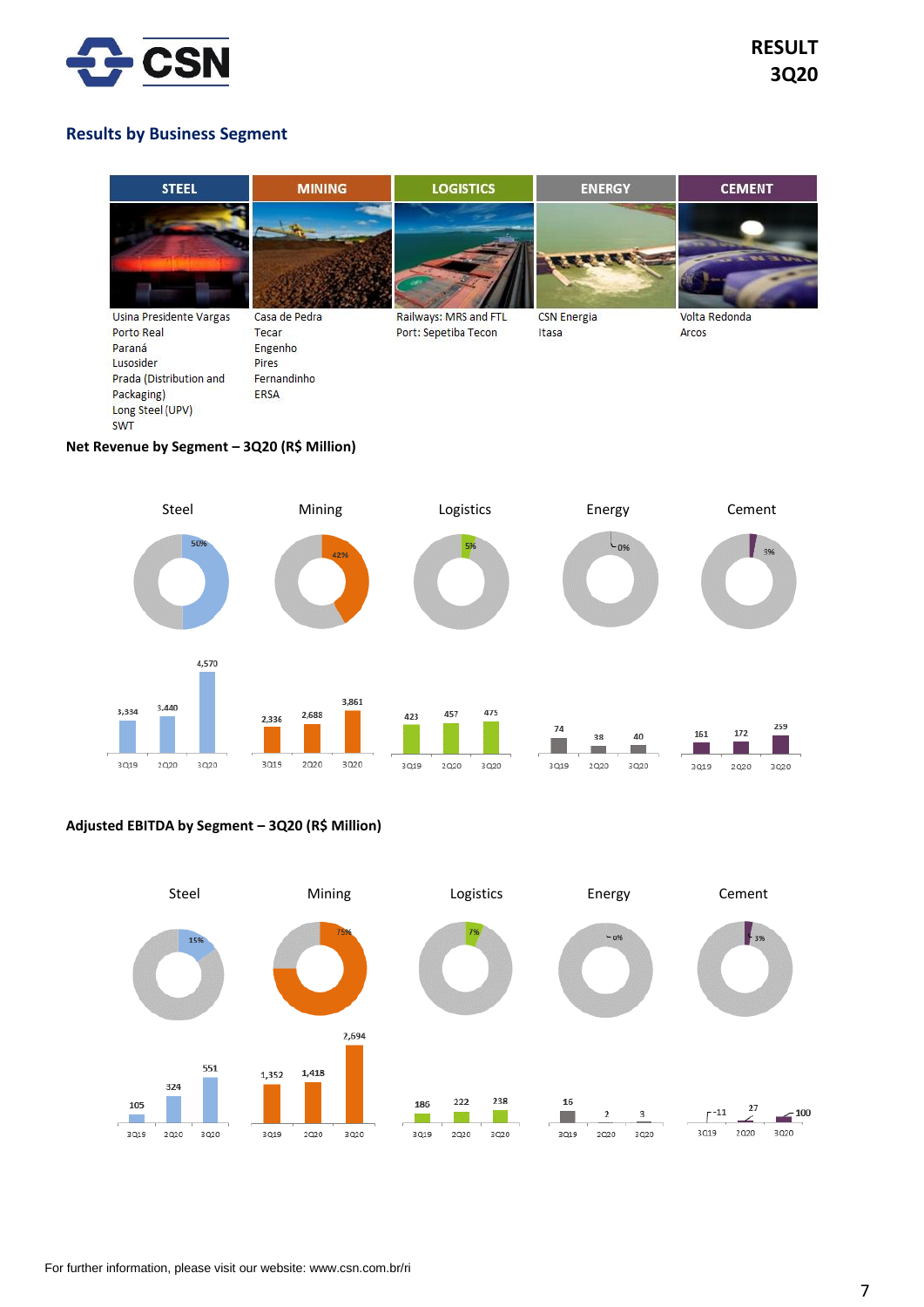

# **RESULT 3Q20**

## **Results by Business Segment**



## **Net Revenue by Segment – 3Q20 (R\$ Million)**



## **Adjusted EBITDA by Segment – 3Q20 (R\$ Million)**

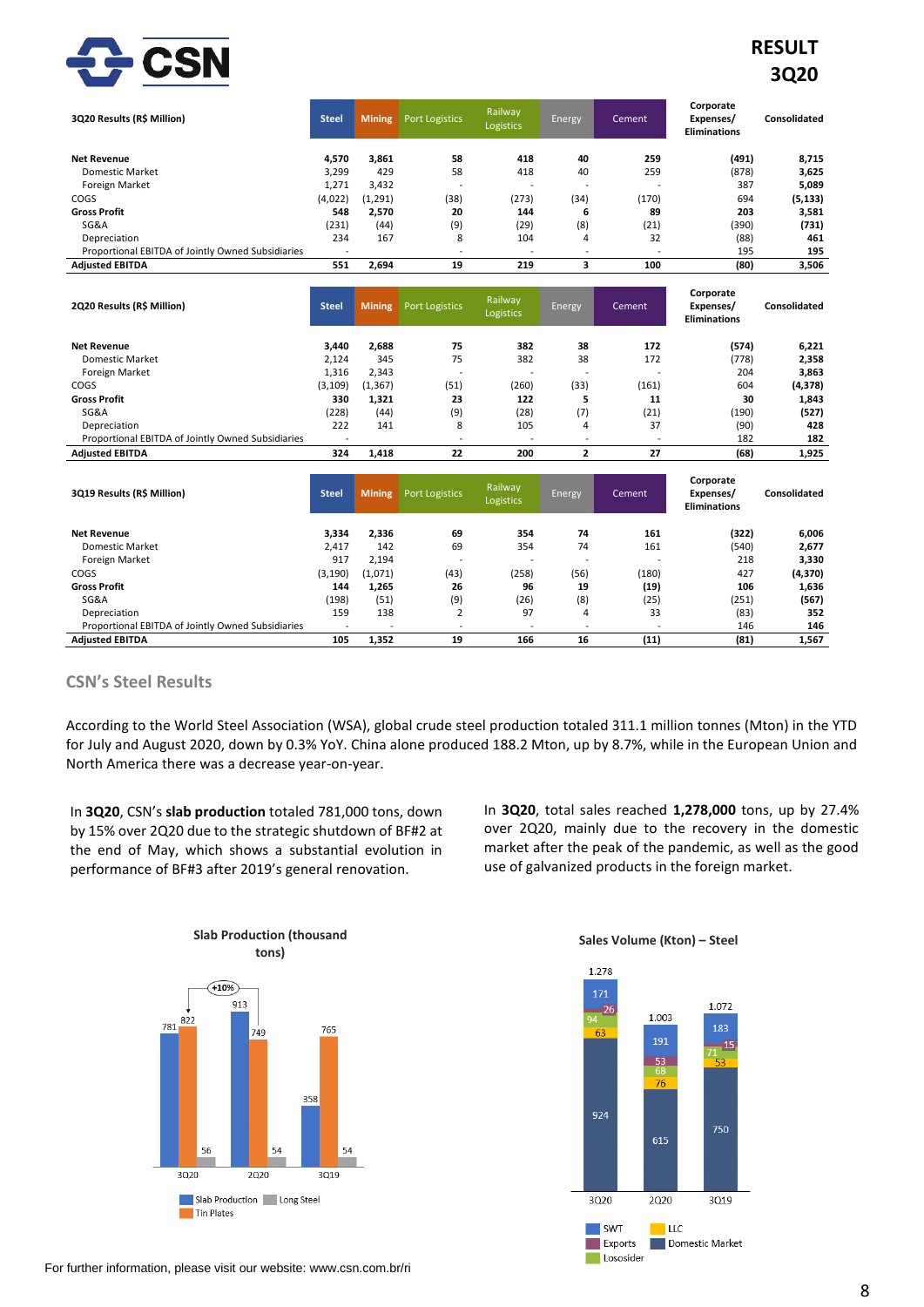

# **RESULT 3Q20**

| 3Q20 Results (R\$ Million)                        | <b>Steel</b>             | <b>Mining</b> | <b>Port Logistics</b>    | <b>Railway</b><br><b>Logistics</b> | Energy | Cement | Corporate<br>Expenses/<br><b>Eliminations</b> | Consolidated |
|---------------------------------------------------|--------------------------|---------------|--------------------------|------------------------------------|--------|--------|-----------------------------------------------|--------------|
| <b>Net Revenue</b>                                | 4.570                    | 3,861         | 58                       | 418                                | 40     | 259    | (491)                                         | 8,715        |
| Domestic Market                                   | 3,299                    | 429           | 58                       | 418                                | 40     | 259    | (878)                                         | 3,625        |
| Foreign Market                                    | 1,271                    | 3,432         | $\overline{\phantom{a}}$ | <b>.</b>                           | -      | -      | 387                                           | 5,089        |
| COGS                                              | (4,022)                  | (1,291)       | (38)                     | (273)                              | (34)   | (170)  | 694                                           | (5, 133)     |
| <b>Gross Profit</b>                               | 548                      | 2,570         | 20                       | 144                                | 6      | 89     | 203                                           | 3,581        |
| SG&A                                              | (231)                    | (44)          | (9)                      | (29)                               | (8)    | (21)   | (390)                                         | (731)        |
| Depreciation                                      | 234                      | 167           | 8                        | 104                                | 4      | 32     | (88)                                          | 461          |
| Proportional EBITDA of Jointly Owned Subsidiaries | $\overline{\phantom{a}}$ |               |                          |                                    |        |        | 195                                           | 195          |
| <b>Adjusted EBITDA</b>                            | 551                      | 2,694         | 19                       | 219                                |        | 100    | (80)                                          | 3,506        |

| 2Q20 Results (R\$ Million)                        | <b>Steel</b>             | <b>Mining</b> | <b>Port Logistics</b>    | Railway<br><b>Logistics</b> | Energy                   | Cement                   | Corporate<br>Expenses/<br><b>Eliminations</b> | Consolidated |
|---------------------------------------------------|--------------------------|---------------|--------------------------|-----------------------------|--------------------------|--------------------------|-----------------------------------------------|--------------|
| <b>Net Revenue</b>                                | 3,440                    | 2,688         | 75                       | 382                         | 38                       | 172                      | (574)                                         | 6,221        |
| Domestic Market                                   | 2,124                    | 345           | 75                       | 382                         | 38                       | 172                      | (778)                                         | 2,358        |
| Foreign Market                                    | 1,316                    | 2,343         | $\overline{\phantom{a}}$ | -                           | -                        |                          | 204                                           | 3,863        |
| COGS                                              | (3, 109)                 | (1, 367)      | (51)                     | (260)                       | (33)                     | (161)                    | 604                                           | (4, 378)     |
| <b>Gross Profit</b>                               | 330                      | 1,321         | 23                       | 122                         |                          | 11                       | 30                                            | 1,843        |
| SG&A                                              | (228)                    | (44)          | (9)                      | (28)                        | (7)                      | (21)                     | (190)                                         | (527)        |
| Depreciation                                      | 222                      | 141           | 8                        | 105                         | 4                        | 37                       | (90)                                          | 428          |
| Proportional EBITDA of Jointly Owned Subsidiaries | $\overline{\phantom{a}}$ |               | $\overline{\phantom{a}}$ | $\overline{\phantom{a}}$    | $\overline{\phantom{a}}$ | $\overline{\phantom{a}}$ | 182                                           | 182          |
| <b>Adjusted EBITDA</b>                            | 324                      | 1,418         | 22                       | 200                         |                          | 27                       | (68)                                          | 1,925        |
|                                                   |                          |               |                          |                             |                          |                          |                                               |              |

| 3Q19 Results (R\$ Million)                        | <b>Steel</b>             | <b>Mining</b> | <b>Port Logistics</b>    | Railway<br><b>Logistics</b> | Energy | Cement                   | Corporate<br>Expenses/<br><b>Eliminations</b> | Consolidated |
|---------------------------------------------------|--------------------------|---------------|--------------------------|-----------------------------|--------|--------------------------|-----------------------------------------------|--------------|
| <b>Net Revenue</b>                                | 3,334                    | 2,336         | 69                       | 354                         | 74     | 161                      | (322)                                         | 6,006        |
| <b>Domestic Market</b>                            | 2,417                    | 142           | 69                       | 354                         | 74     | 161                      | (540)                                         | 2,677        |
| Foreign Market                                    | 917                      | 2,194         | $\overline{\phantom{0}}$ | $\overline{\phantom{0}}$    | ۰      | -                        | 218                                           | 3,330        |
| COGS                                              | (3, 190)                 | (1,071)       | (43)                     | (258)                       | (56)   | (180)                    | 427                                           | (4, 370)     |
| <b>Gross Profit</b>                               | 144                      | 1,265         | 26                       | 96                          | 19     | (19)                     | 106                                           | 1,636        |
| SG&A                                              | (198)                    | (51)          | (9)                      | (26)                        | (8)    | (25)                     | (251)                                         | (567)        |
| Depreciation                                      | 159                      | 138           | ∠                        | 97                          | 4      | 33                       | (83)                                          | 352          |
| Proportional EBITDA of Jointly Owned Subsidiaries | $\overline{\phantom{a}}$ |               | $\overline{\phantom{a}}$ | ۰                           |        | $\overline{\phantom{a}}$ | 146                                           | 146          |
| <b>Adjusted EBITDA</b>                            | 105                      | 1,352         | 19                       | 166                         | 16     | (11)                     | (81)                                          | 1,567        |

## **CSN's Steel Results**

According to the World Steel Association (WSA), global crude steel production totaled 311.1 million tonnes (Mton) in the YTD for July and August 2020, down by 0.3% YoY. China alone produced 188.2 Mton, up by 8.7%, while in the European Union and North America there was a decrease year-on-year.

In **3Q20**, CSN's **slab production** totaled 781,000 tons, down by 15% over 2Q20 due to the strategic shutdown of BF#2 at the end of May, which shows a substantial evolution in performance of BF#3 after 2019's general renovation.

In **3Q20**, total sales reached **1,278,000** tons, up by 27.4% over 2Q20, mainly due to the recovery in the domestic market after the peak of the pandemic, as well as the good use of galvanized products in the foreign market.





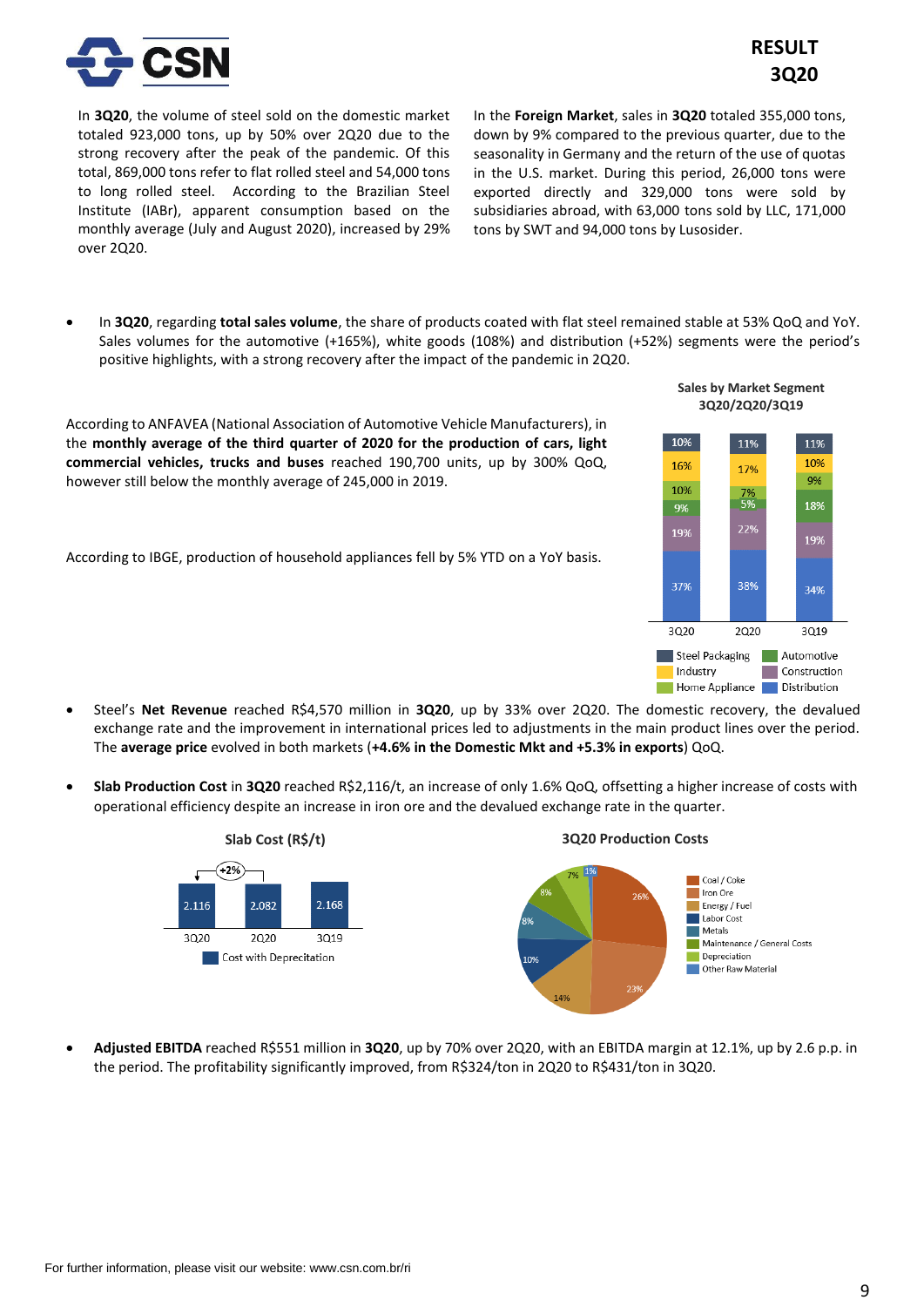

In **3Q20**, the volume of steel sold on the domestic market totaled 923,000 tons, up by 50% over 2Q20 due to the strong recovery after the peak of the pandemic. Of this total, 869,000 tons refer to flat rolled steel and 54,000 tons to long rolled steel. According to the Brazilian Steel Institute (IABr), apparent consumption based on the monthly average (July and August 2020), increased by 29% over 2Q20.

In the **Foreign Market**, sales in **3Q20** totaled 355,000 tons, down by 9% compared to the previous quarter, due to the seasonality in Germany and the return of the use of quotas in the U.S. market. During this period, 26,000 tons were exported directly and 329,000 tons were sold by subsidiaries abroad, with 63,000 tons sold by LLC, 171,000 tons by SWT and 94,000 tons by Lusosider.

• In **3Q20**, regarding **total sales volume**, the share of products coated with flat steel remained stable at 53% QoQ and YoY. Sales volumes for the automotive (+165%), white goods (108%) and distribution (+52%) segments were the period's positive highlights, with a strong recovery after the impact of the pandemic in 2Q20.

According to ANFAVEA (National Association of Automotive Vehicle Manufacturers), in the **monthly average of the third quarter of 2020 for the production of cars, light commercial vehicles, trucks and buses** reached 190,700 units, up by 300% QoQ, however still below the monthly average of 245,000 in 2019.

According to IBGE, production of household appliances fell by 5% YTD on a YoY basis.



**Sales by Market Segment 3Q20/2Q20/3Q19** 

- Steel's **Net Revenue** reached R\$4,570 million in **3Q20**, up by 33% over 2Q20. The domestic recovery, the devalued exchange rate and the improvement in international prices led to adjustments in the main product lines over the period. The **average price** evolved in both markets (**+4.6% in the Domestic Mkt and +5.3% in exports**) QoQ.
- **Slab Production Cost** in **3Q20** reached R\$2,116/t, an increase of only 1.6% QoQ, offsetting a higher increase of costs with operational efficiency despite an increase in iron ore and the devalued exchange rate in the quarter.



• **Adjusted EBITDA** reached R\$551 million in **3Q20**, up by 70% over 2Q20, with an EBITDA margin at 12.1%, up by 2.6 p.p. in the period. The profitability significantly improved, from R\$324/ton in 2Q20 to R\$431/ton in 3Q20.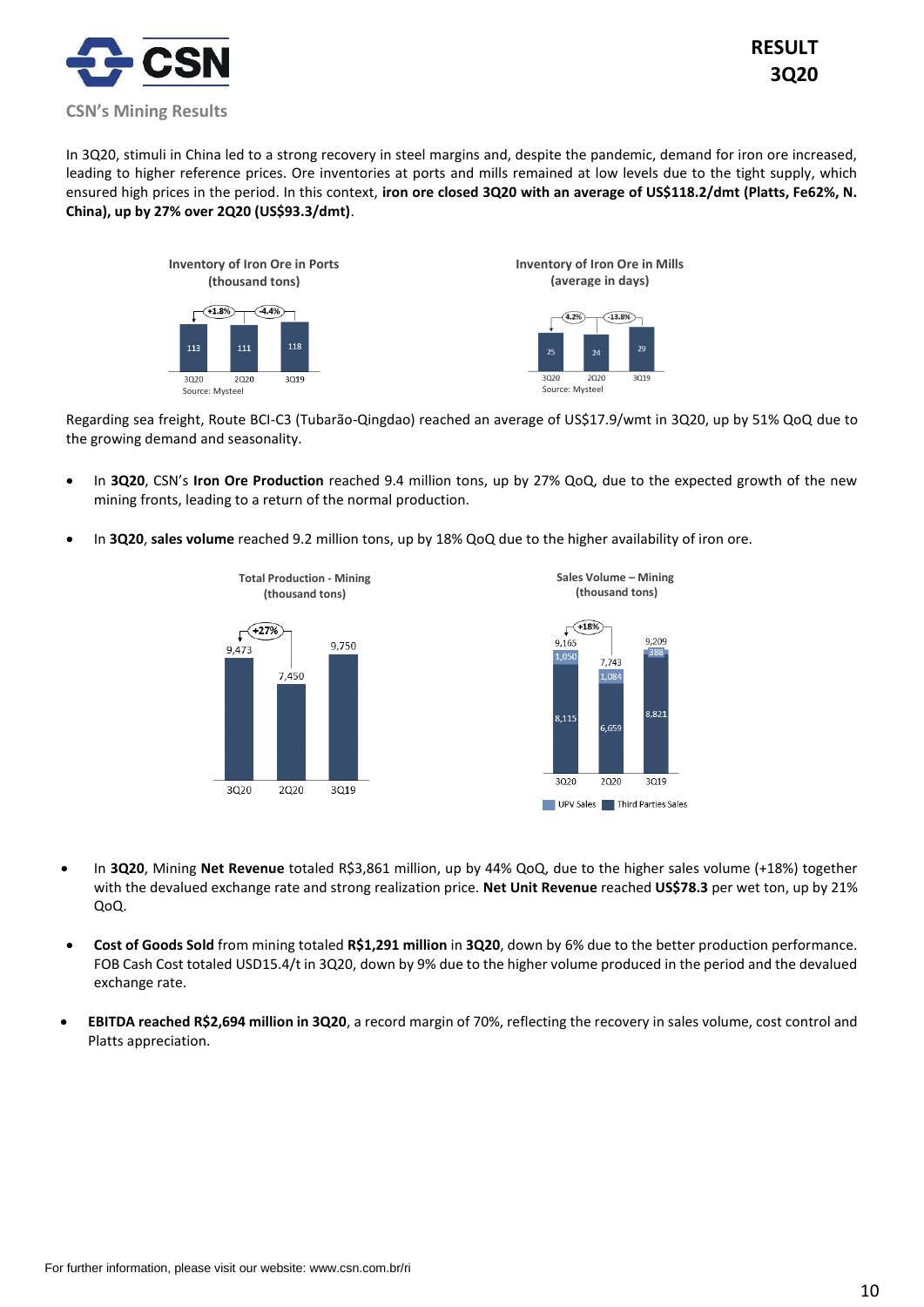

In 3Q20, stimuli in China led to a strong recovery in steel margins and, despite the pandemic, demand for iron ore increased, leading to higher reference prices. Ore inventories at ports and mills remained at low levels due to the tight supply, which ensured high prices in the period. In this context, **iron ore closed 3Q20 with an average of US\$118.2/dmt (Platts, Fe62%, N. China), up by 27% over 2Q20 (US\$93.3/dmt)**.



Regarding sea freight, Route BCI-C3 (Tubarão-Qingdao) reached an average of US\$17.9/wmt in 3Q20, up by 51% QoQ due to the growing demand and seasonality.

- In **3Q20**, CSN's **Iron Ore Production** reached 9.4 million tons, up by 27% QoQ, due to the expected growth of the new mining fronts, leading to a return of the normal production.
- In **3Q20**, **sales volume** reached 9.2 million tons, up by 18% QoQ due to the higher availability of iron ore.



- In **3Q20**, Mining **Net Revenue** totaled R\$3,861 million, up by 44% QoQ, due to the higher sales volume (+18%) together with the devalued exchange rate and strong realization price. **Net Unit Revenue** reached **US\$78.3** per wet ton, up by 21% QoQ.
- **Cost of Goods Sold** from mining totaled **R\$1,291 million** in **3Q20**, down by 6% due to the better production performance. FOB Cash Cost totaled USD15.4/t in 3Q20, down by 9% due to the higher volume produced in the period and the devalued exchange rate.
- **EBITDA reached R\$2,694 million in 3Q20**, a record margin of 70%, reflecting the recovery in sales volume, cost control and Platts appreciation.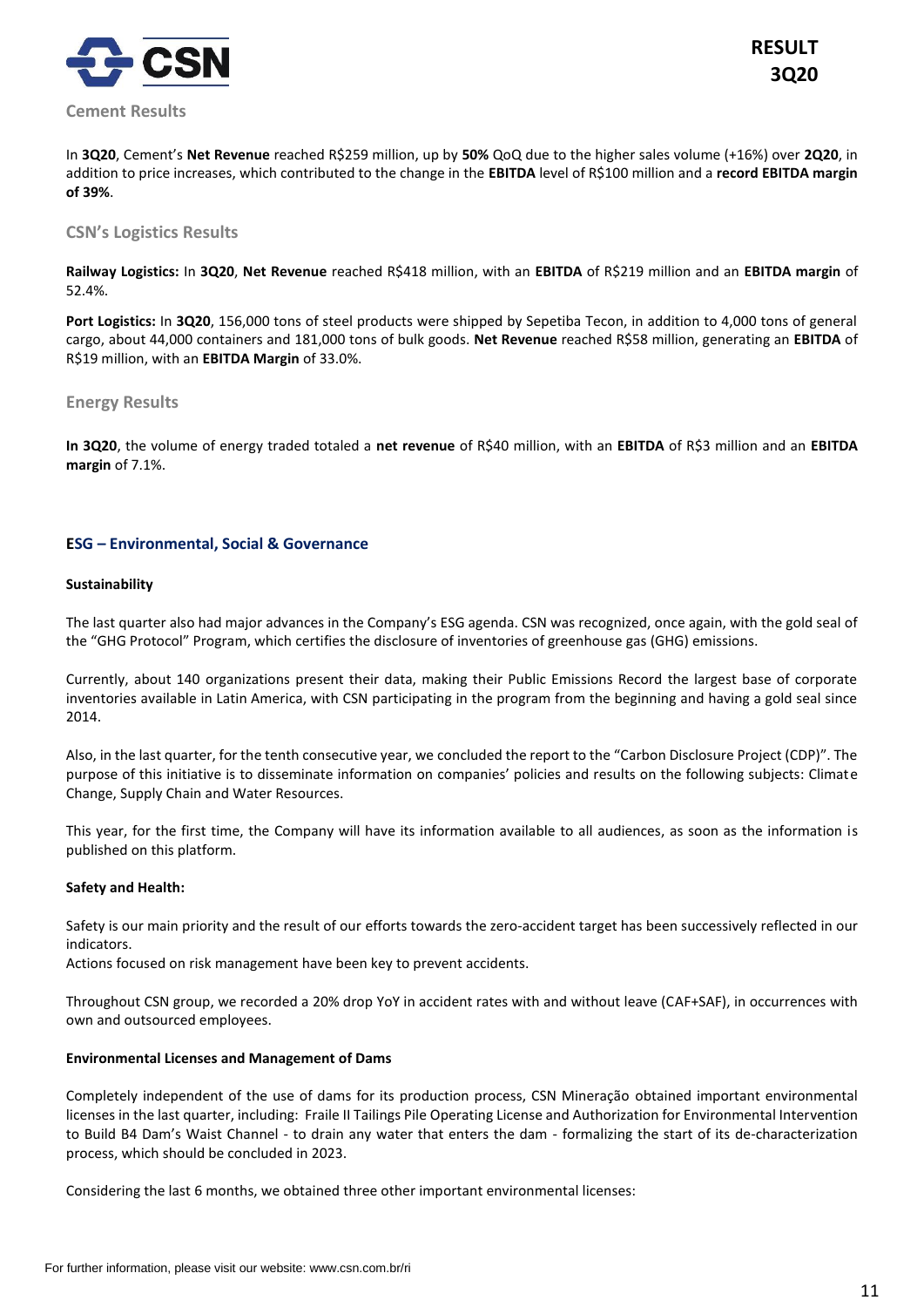

In **3Q20**, Cement's **Net Revenue** reached R\$259 million, up by **50%** QoQ due to the higher sales volume (+16%) over **2Q20**, in addition to price increases, which contributed to the change in the **EBITDA** level of R\$100 million and a **record EBITDA margin of 39%**.

## **CSN's Logistics Results**

**Railway Logistics:** In **3Q20**, **Net Revenue** reached R\$418 million, with an **EBITDA** of R\$219 million and an **EBITDA margin** of 52.4%.

**Port Logistics:** In **3Q20**, 156,000 tons of steel products were shipped by Sepetiba Tecon, in addition to 4,000 tons of general cargo, about 44,000 containers and 181,000 tons of bulk goods. **Net Revenue** reached R\$58 million, generating an **EBITDA** of R\$19 million, with an **EBITDA Margin** of 33.0%.

## **Energy Results**

**In 3Q20**, the volume of energy traded totaled a **net revenue** of R\$40 million, with an **EBITDA** of R\$3 million and an **EBITDA margin** of 7.1%.

## **ESG – Environmental, Social & Governance**

### **Sustainability**

The last quarter also had major advances in the Company's ESG agenda. CSN was recognized, once again, with the gold seal of the "GHG Protocol" Program, which certifies the disclosure of inventories of greenhouse gas (GHG) emissions.

Currently, about 140 organizations present their data, making their Public Emissions Record the largest base of corporate inventories available in Latin America, with CSN participating in the program from the beginning and having a gold seal since 2014.

Also, in the last quarter, for the tenth consecutive year, we concluded the report to the "Carbon Disclosure Project (CDP)". The purpose of this initiative is to disseminate information on companies' policies and results on the following subjects: Climate Change, Supply Chain and Water Resources.

This year, for the first time, the Company will have its information available to all audiences, as soon as the information is published on this platform.

### **Safety and Health:**

Safety is our main priority and the result of our efforts towards the zero-accident target has been successively reflected in our indicators.

Actions focused on risk management have been key to prevent accidents.

Throughout CSN group, we recorded a 20% drop YoY in accident rates with and without leave (CAF+SAF), in occurrences with own and outsourced employees.

### **Environmental Licenses and Management of Dams**

Completely independent of the use of dams for its production process, CSN Mineração obtained important environmental licenses in the last quarter, including: Fraile II Tailings Pile Operating License and Authorization for Environmental Intervention to Build B4 Dam's Waist Channel - to drain any water that enters the dam - formalizing the start of its de-characterization process, which should be concluded in 2023.

Considering the last 6 months, we obtained three other important environmental licenses: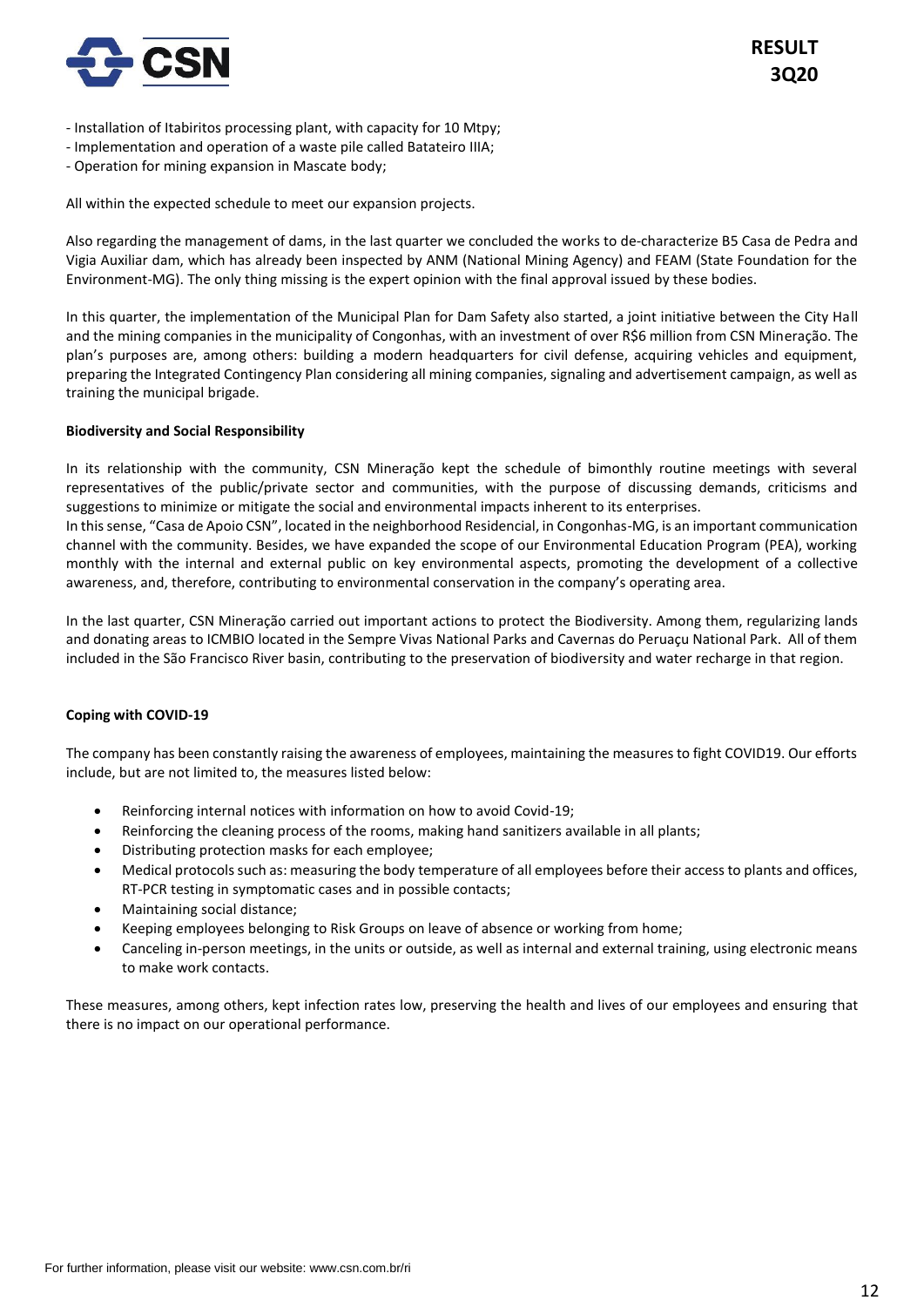

- Installation of Itabiritos processing plant, with capacity for 10 Mtpy;
- Implementation and operation of a waste pile called Batateiro IIIA;
- Operation for mining expansion in Mascate body;

All within the expected schedule to meet our expansion projects.

Also regarding the management of dams, in the last quarter we concluded the works to de-characterize B5 Casa de Pedra and Vigia Auxiliar dam, which has already been inspected by ANM (National Mining Agency) and FEAM (State Foundation for the Environment-MG). The only thing missing is the expert opinion with the final approval issued by these bodies.

In this quarter, the implementation of the Municipal Plan for Dam Safety also started, a joint initiative between the City Hall and the mining companies in the municipality of Congonhas, with an investment of over R\$6 million from CSN Mineração. The plan's purposes are, among others: building a modern headquarters for civil defense, acquiring vehicles and equipment, preparing the Integrated Contingency Plan considering all mining companies, signaling and advertisement campaign, as well as training the municipal brigade.

### **Biodiversity and Social Responsibility**

In its relationship with the community, CSN Mineração kept the schedule of bimonthly routine meetings with several representatives of the public/private sector and communities, with the purpose of discussing demands, criticisms and suggestions to minimize or mitigate the social and environmental impacts inherent to its enterprises.

In this sense, "Casa de Apoio CSN", located in the neighborhood Residencial, in Congonhas-MG, is an important communication channel with the community. Besides, we have expanded the scope of our Environmental Education Program (PEA), working monthly with the internal and external public on key environmental aspects, promoting the development of a collective awareness, and, therefore, contributing to environmental conservation in the company's operating area.

In the last quarter, CSN Mineração carried out important actions to protect the Biodiversity. Among them, regularizing lands and donating areas to ICMBIO located in the Sempre Vivas National Parks and Cavernas do Peruaçu National Park. All of them included in the São Francisco River basin, contributing to the preservation of biodiversity and water recharge in that region.

## **Coping with COVID-19**

The company has been constantly raising the awareness of employees, maintaining the measures to fight COVID19. Our efforts include, but are not limited to, the measures listed below:

- Reinforcing internal notices with information on how to avoid Covid-19;
- Reinforcing the cleaning process of the rooms, making hand sanitizers available in all plants;
- Distributing protection masks for each employee;
- Medical protocols such as: measuring the body temperature of all employees before their access to plants and offices, RT-PCR testing in symptomatic cases and in possible contacts;
- Maintaining social distance;
- Keeping employees belonging to Risk Groups on leave of absence or working from home;
- Canceling in-person meetings, in the units or outside, as well as internal and external training, using electronic means to make work contacts.

These measures, among others, kept infection rates low, preserving the health and lives of our employees and ensuring that there is no impact on our operational performance.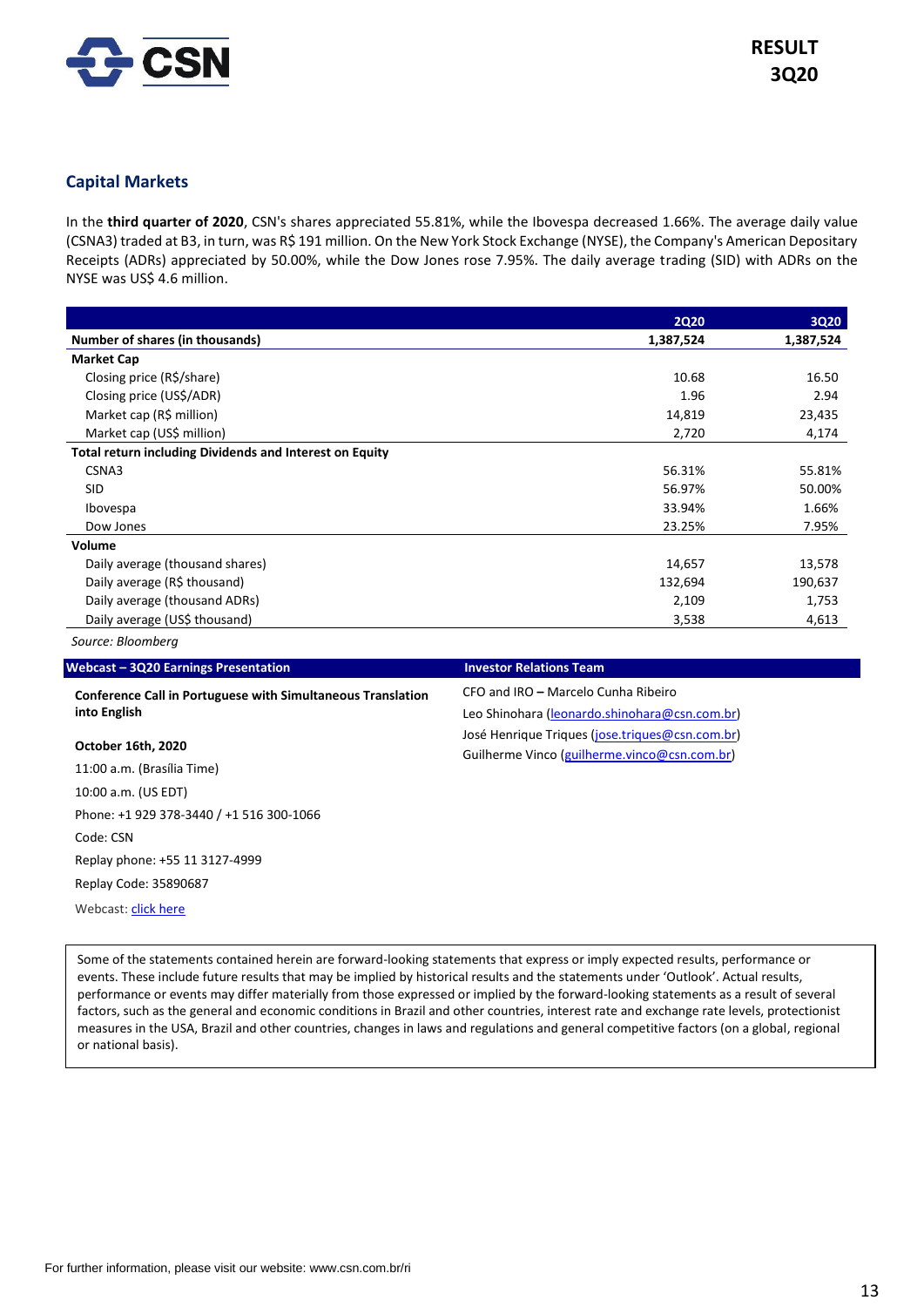

## **Capital Markets**

In the **third quarter of 2020**, CSN's shares appreciated 55.81%, while the Ibovespa decreased 1.66%. The average daily value (CSNA3) traded at B3, in turn, was R\$ 191 million. On the New York Stock Exchange (NYSE), the Company's American Depositary Receipts (ADRs) appreciated by 50.00%, while the Dow Jones rose 7.95%. The daily average trading (SID) with ADRs on the NYSE was US\$ 4.6 million.

|                                                                | <b>2Q20</b> | 3Q20      |
|----------------------------------------------------------------|-------------|-----------|
| Number of shares (in thousands)                                | 1,387,524   | 1,387,524 |
| <b>Market Cap</b>                                              |             |           |
| Closing price (R\$/share)                                      | 10.68       | 16.50     |
| Closing price (US\$/ADR)                                       | 1.96        | 2.94      |
| Market cap (R\$ million)                                       | 14,819      | 23,435    |
| Market cap (US\$ million)                                      | 2,720       | 4,174     |
| <b>Total return including Dividends and Interest on Equity</b> |             |           |
| CSNA3                                                          | 56.31%      | 55.81%    |
| <b>SID</b>                                                     | 56.97%      | 50.00%    |
| Ibovespa                                                       | 33.94%      | 1.66%     |
| Dow Jones                                                      | 23.25%      | 7.95%     |
| Volume                                                         |             |           |
| Daily average (thousand shares)                                | 14,657      | 13,578    |
| Daily average (R\$ thousand)                                   | 132,694     | 190,637   |
| Daily average (thousand ADRs)                                  | 2,109       | 1,753     |
| Daily average (US\$ thousand)                                  | 3,538       | 4,613     |

*Source: Bloomberg*

## **Conference Call in Portuguese with Simultaneous Translation into English**

### **October 16th, 2020**

11:00 a.m. (Brasília Time) 10:00 a.m. (US EDT) Phone: +1 929 378-3440 / +1 516 300-1066 Code: CSN Replay phone: +55 11 3127-4999 Replay Code: 35890687 Webcast[: click here](http://mailerurl.mziq.com/ls/click?upn=9C1nDCSTDIGQBf5S24-2FV9MKaGGmSUPWBkYV5gGfkZgiF3-2FEvfNfP5ADT-2Bg7RY-2B0Ru5IjPdMTwNk1pQ6YJg3JX1r3mVdQQIzFwHlF5p-2FWqB-2FYSxqXdrg7S4GtFHY9x-2F-2FUO4B0_HtvL1zNN1BnfaL2G4MoSbwlHpdWURwQBrQBrhuiDLDUGAfyLHZlnIpUoP0gH91J5D63nJMQgFg9hm-2F67Pi1cjnEabV4xTENw5BvwG-2B-2BoF2tALvl7m7ByZrsKAVehNDU4M8wPRomHcCTfhH87Z0cURYchDuUxdOi7-2Bm8K3e1n2n6BEWbQobTiJWmsBRBxmi2A-2ByYWPxtTwt7uVDvp54OPFKcyoSLLAtSfmZN8SzJwY81uvzWZvLXWCau3BHouYio-2FGvKb28kTm5UpGRXWLXeHWpVzECXuV6I-2Fg7LwJVbe-2FFp61a8SjdBKaEncUGJedFIiDFvQo4q9yobBUQus15ZNMlhISuom5NYIK6AZn5LPtZFVHvfzBdyXEkaQ1bBdfy9AfQbEgMIxPURDxTIVkEURjmL2O5G9CKLvOhl8Y6YyV9-2BVBTMBLyozVeTKES-2F4i8T5)

## **Webcast – 3Q20 Earnings Presentation Investor Relations Team**

CFO and IRO **–** Marcelo Cunha Ribeiro Leo Shinohara [\(leonardo.shinohara@csn.com.br\)](mailto:leonardo.shinohara@csn.com.br) José Henrique Triques [\(jose.triques@csn.com.br\)](mailto:jose.triques@csn.com.br) Guilherme Vinco [\(guilherme.vinco@csn.com.br\)](mailto:guilherme.vinco@csn.com.br)

Some of the statements contained herein are forward-looking statements that express or imply expected results, performance or events. These include future results that may be implied by historical results and the statements under 'Outlook'. Actual results, performance or events may differ materially from those expressed or implied by the forward-looking statements as a result of several factors, such as the general and economic conditions in Brazil and other countries, interest rate and exchange rate levels, protectionist measures in the USA, Brazil and other countries, changes in laws and regulations and general competitive factors (on a global, regional or national basis).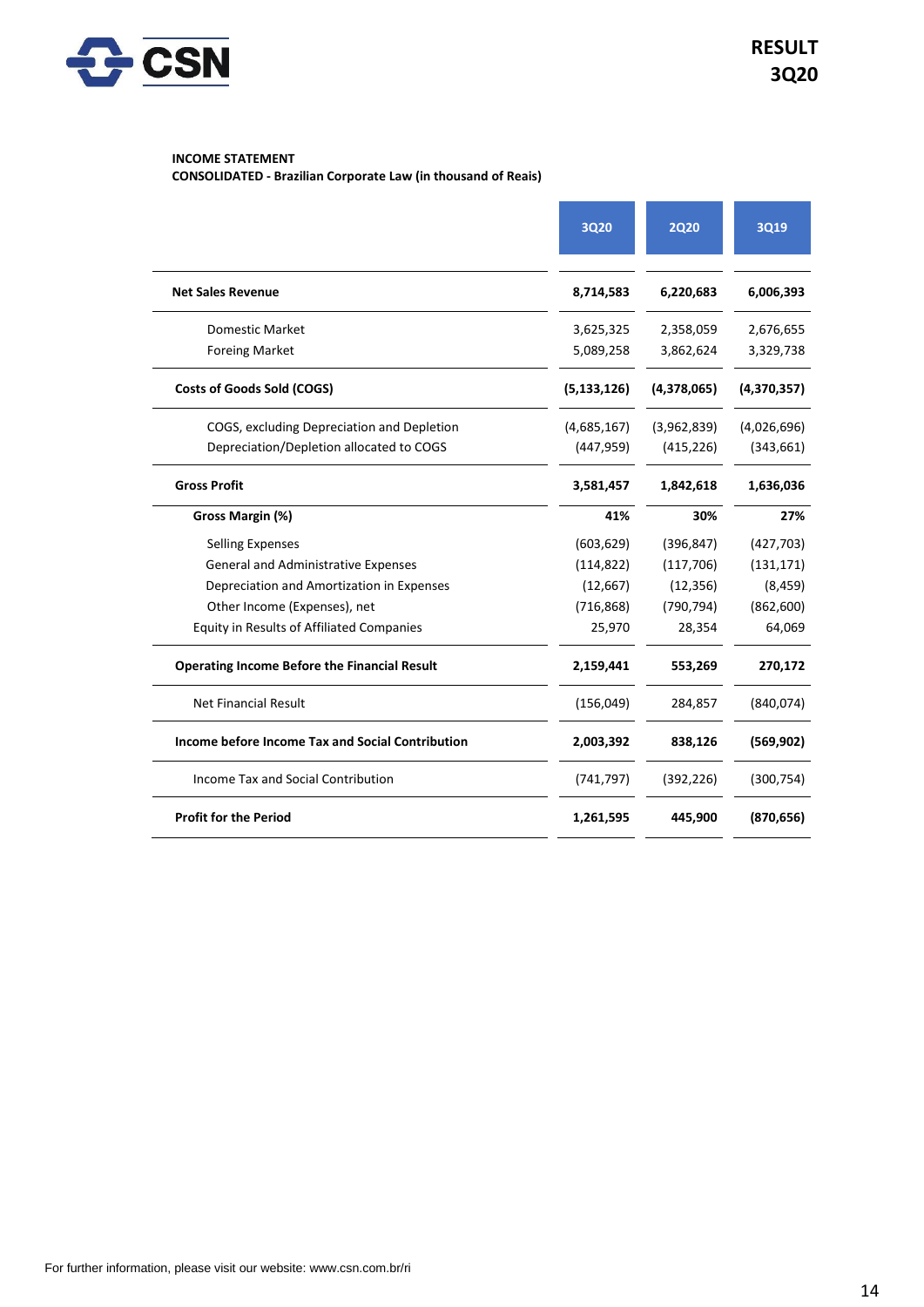

## **INCOME STATEMENT**

**CONSOLIDATED - Brazilian Corporate Law (in thousand of Reais)**

|                                                     | 3Q20          | <b>2Q20</b> | <b>3Q19</b> |
|-----------------------------------------------------|---------------|-------------|-------------|
| <b>Net Sales Revenue</b>                            | 8,714,583     | 6,220,683   | 6,006,393   |
| Domestic Market                                     | 3,625,325     | 2,358,059   | 2,676,655   |
| <b>Foreing Market</b>                               | 5,089,258     | 3,862,624   | 3,329,738   |
| <b>Costs of Goods Sold (COGS)</b>                   | (5, 133, 126) | (4,378,065) | (4,370,357) |
| COGS, excluding Depreciation and Depletion          | (4,685,167)   | (3,962,839) | (4,026,696) |
| Depreciation/Depletion allocated to COGS            | (447, 959)    | (415, 226)  | (343, 661)  |
| <b>Gross Profit</b>                                 | 3,581,457     | 1,842,618   | 1,636,036   |
| Gross Margin (%)                                    | 41%           | 30%         | 27%         |
| <b>Selling Expenses</b>                             | (603, 629)    | (396, 847)  | (427, 703)  |
| <b>General and Administrative Expenses</b>          | (114, 822)    | (117, 706)  | (131, 171)  |
| Depreciation and Amortization in Expenses           | (12, 667)     | (12, 356)   | (8, 459)    |
| Other Income (Expenses), net                        | (716, 868)    | (790, 794)  | (862, 600)  |
| <b>Equity in Results of Affiliated Companies</b>    | 25,970        | 28,354      | 64,069      |
| <b>Operating Income Before the Financial Result</b> | 2,159,441     | 553,269     | 270,172     |
| <b>Net Financial Result</b>                         | (156, 049)    | 284,857     | (840,074)   |
| Income before Income Tax and Social Contribution    | 2,003,392     | 838,126     | (569, 902)  |
| Income Tax and Social Contribution                  | (741, 797)    | (392, 226)  | (300, 754)  |
| <b>Profit for the Period</b>                        | 1,261,595     | 445,900     | (870, 656)  |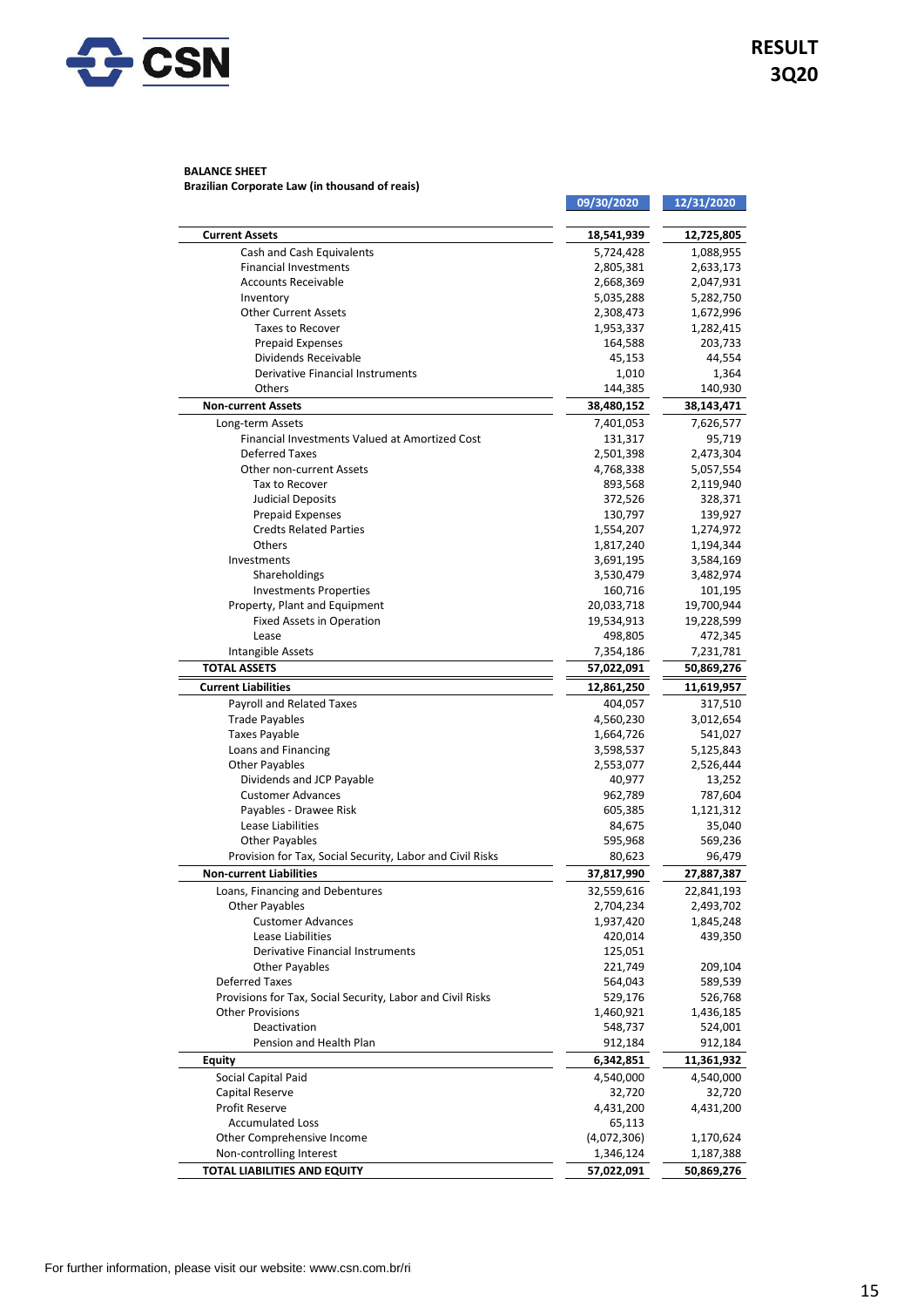

#### **BALANCE SHEET Brazilian Corporate Law (in thousand of reais)**

|                                                            | 09/30/2020               | 12/31/2020               |
|------------------------------------------------------------|--------------------------|--------------------------|
| <b>Current Assets</b>                                      | 18,541,939               | 12,725,805               |
| Cash and Cash Equivalents                                  | 5,724,428                | 1,088,955                |
| <b>Financial Investments</b>                               | 2,805,381                | 2,633,173                |
| <b>Accounts Receivable</b>                                 | 2,668,369                | 2,047,931                |
| Inventory                                                  | 5,035,288                | 5,282,750                |
| <b>Other Current Assets</b>                                | 2,308,473                | 1,672,996                |
| <b>Taxes to Recover</b>                                    | 1,953,337                | 1,282,415                |
| <b>Prepaid Expenses</b>                                    | 164,588                  | 203,733                  |
| Dividends Receivable                                       | 45,153                   | 44,554                   |
| <b>Derivative Financial Instruments</b>                    | 1,010                    | 1,364                    |
| Others                                                     | 144,385                  | 140,930                  |
| <b>Non-current Assets</b>                                  | 38,480,152               | 38,143,471               |
| Long-term Assets                                           | 7,401,053                | 7,626,577                |
| Financial Investments Valued at Amortized Cost             | 131,317                  | 95,719                   |
| <b>Deferred Taxes</b>                                      | 2,501,398                | 2,473,304                |
| Other non-current Assets                                   | 4,768,338                | 5,057,554                |
| Tax to Recover                                             | 893,568                  | 2,119,940                |
| <b>Judicial Deposits</b>                                   | 372,526                  | 328,371                  |
| <b>Prepaid Expenses</b>                                    | 130,797                  | 139,927                  |
| <b>Credts Related Parties</b>                              | 1,554,207                | 1,274,972                |
| Others                                                     | 1,817,240                | 1,194,344                |
| Investments                                                | 3,691,195                | 3,584,169                |
| Shareholdings                                              | 3,530,479                | 3,482,974                |
| <b>Investments Properties</b>                              | 160,716                  | 101,195                  |
| Property, Plant and Equipment                              | 20,033,718               | 19,700,944               |
| <b>Fixed Assets in Operation</b><br>Lease                  | 19,534,913               | 19,228,599<br>472,345    |
| Intangible Assets                                          | 498,805<br>7,354,186     | 7,231,781                |
| <b>TOTAL ASSETS</b>                                        |                          |                          |
| <b>Current Liabilities</b>                                 | 57,022,091<br>12,861,250 | 50,869,276<br>11,619,957 |
|                                                            |                          |                          |
| Payroll and Related Taxes<br><b>Trade Payables</b>         | 404,057<br>4,560,230     | 317,510<br>3,012,654     |
| <b>Taxes Payable</b>                                       | 1,664,726                | 541,027                  |
| Loans and Financing                                        | 3,598,537                | 5,125,843                |
| <b>Other Payables</b>                                      | 2,553,077                | 2,526,444                |
| Dividends and JCP Payable                                  | 40,977                   | 13,252                   |
| <b>Customer Advances</b>                                   | 962,789                  | 787,604                  |
| Payables - Drawee Risk                                     | 605,385                  | 1,121,312                |
| Lease Liabilities                                          | 84,675                   | 35,040                   |
| <b>Other Payables</b>                                      | 595,968                  | 569,236                  |
| Provision for Tax, Social Security, Labor and Civil Risks  | 80,623                   | 96,479                   |
| <b>Non-current Liabilities</b>                             | 37,817,990               | 27,887,387               |
| Loans, Financing and Debentures                            | 32,559,616               | 22,841,193               |
| <b>Other Payables</b>                                      | 2,704,234                | 2,493,702                |
| <b>Customer Advances</b>                                   | 1,937,420                | 1,845,248                |
| Lease Liabilities                                          | 420,014                  | 439,350                  |
| <b>Derivative Financial Instruments</b>                    | 125,051                  |                          |
| <b>Other Payables</b>                                      | 221,749                  | 209,104                  |
| <b>Deferred Taxes</b>                                      | 564,043                  | 589,539                  |
| Provisions for Tax, Social Security, Labor and Civil Risks | 529,176                  | 526,768                  |
| <b>Other Provisions</b>                                    | 1,460,921                | 1,436,185                |
| Deactivation                                               | 548,737                  | 524,001                  |
| Pension and Health Plan                                    | 912,184                  | 912,184                  |
| <b>Equity</b>                                              | 6,342,851                | 11,361,932               |
| Social Capital Paid                                        | 4,540,000                | 4,540,000                |
| Capital Reserve                                            | 32,720                   | 32,720                   |
| Profit Reserve                                             | 4,431,200                | 4,431,200                |
| <b>Accumulated Loss</b>                                    | 65,113                   |                          |
| Other Comprehensive Income                                 | (4,072,306)              | 1,170,624                |
| Non-controlling Interest                                   | 1,346,124                | 1,187,388                |
| <b>TOTAL LIABILITIES AND EQUITY</b>                        | 57,022,091               | 50,869,276               |